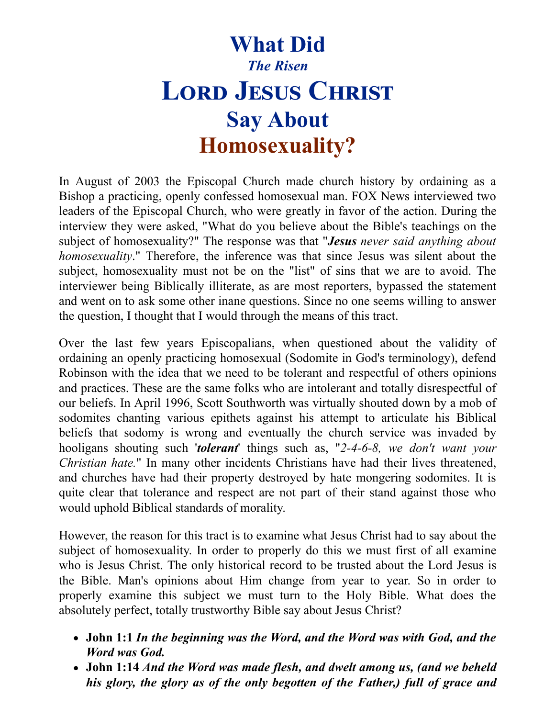## **What Did** *The Risen* **LORD JESUS CHRIST Say About Homosexuality?**

In August of 2003 the Episcopal Church made church history by ordaining as a Bishop a practicing, openly confessed homosexual man. FOX News interviewed two leaders of the Episcopal Church, who were greatly in favor of the action. During the interview they were asked, "What do you believe about the Bible's teachings on the subject of homosexuality?" The response was that "*Jesus never said anything about homosexuality*." Therefore, the inference was that since Jesus was silent about the subject, homosexuality must not be on the "list" of sins that we are to avoid. The interviewer being Biblically illiterate, as are most reporters, bypassed the statement and went on to ask some other inane questions. Since no one seems willing to answer the question, I thought that I would through the means of this tract.

Over the last few years Episcopalians, when questioned about the validity of ordaining an openly practicing homosexual (Sodomite in God's terminology), defend Robinson with the idea that we need to be tolerant and respectful of others opinions and practices. These are the same folks who are intolerant and totally disrespectful of our beliefs. In April 1996, Scott Southworth was virtually shouted down by a mob of sodomites chanting various epithets against his attempt to articulate his Biblical beliefs that sodomy is wrong and eventually the church service was invaded by hooligans shouting such '*tolerant*' things such as, "*2-4-6-8, we don't want your Christian hate.*" In many other incidents Christians have had their lives threatened, and churches have had their property destroyed by hate mongering sodomites. It is quite clear that tolerance and respect are not part of their stand against those who would uphold Biblical standards of morality.

However, the reason for this tract is to examine what Jesus Christ had to say about the subject of homosexuality. In order to properly do this we must first of all examine who is Jesus Christ. The only historical record to be trusted about the Lord Jesus is the Bible. Man's opinions about Him change from year to year. So in order to properly examine this subject we must turn to the Holy Bible. What does the absolutely perfect, totally trustworthy Bible say about Jesus Christ?

- **John 1:1** *In the beginning was the Word, and the Word was with God, and the Word was God.*
- **John 1:14** *And the Word was made flesh, and dwelt among us, (and we beheld his glory, the glory as of the only begotten of the Father,) full of grace and*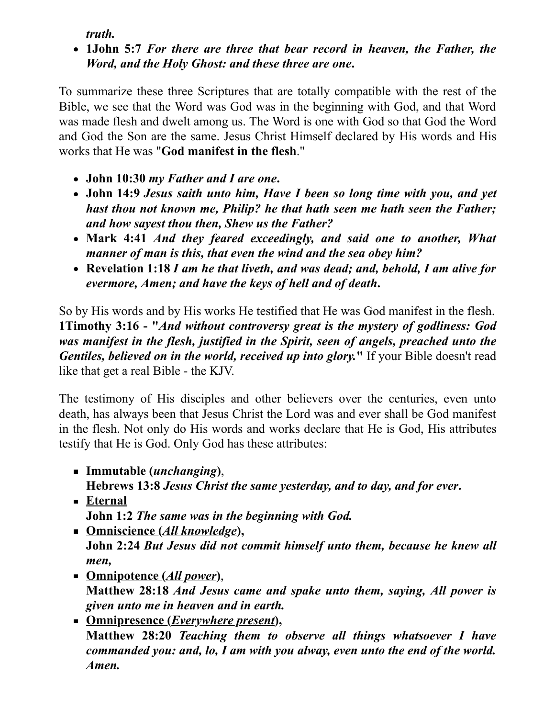*truth.*

**1John 5:7** *For there are three that bear record in heaven, the Father, the Word, and the Holy Ghost: and these three are one***.**

To summarize these three Scriptures that are totally compatible with the rest of the Bible, we see that the Word was God was in the beginning with God, and that Word was made flesh and dwelt among us. The Word is one with God so that God the Word and God the Son are the same. Jesus Christ Himself declared by His words and His works that He was "**God manifest in the flesh**."

- **John 10:30** *my Father and I are one***.**
- **John 14:9** *Jesus saith unto him, Have I been so long time with you, and yet hast thou not known me, Philip? he that hath seen me hath seen the Father; and how sayest thou then, Shew us the Father?*
- **Mark 4:41** *And they feared exceedingly, and said one to another, What manner of man is this, that even the wind and the sea obey him?*
- **Revelation 1:18** *I am he that liveth, and was dead; and, behold, I am alive for evermore, Amen; and have the keys of hell and of death***.**

So by His words and by His works He testified that He was God manifest in the flesh. **1Timothy 3:16 - "***And without controversy great is the mystery of godliness: God was manifest in the flesh, justified in the Spirit, seen of angels, preached unto the Gentiles, believed on in the world, received up into glory.***"** If your Bible doesn't read like that get a real Bible - the KJV.

The testimony of His disciples and other believers over the centuries, even unto death, has always been that Jesus Christ the Lord was and ever shall be God manifest in the flesh. Not only do His words and works declare that He is God, His attributes testify that He is God. Only God has these attributes:

- **Immutable (***unchanging***)**, **Hebrews 13:8** *Jesus Christ the same yesterday, and to day, and for ever***.**
- **Eternal John 1:2** *The same was in the beginning with God.*
- **Omniscience (***All knowledge***), John 2:24** *But Jesus did not commit himself unto them, because he knew all men,*
- **Omnipotence (***All power***)**, **Matthew 28:18** *And Jesus came and spake unto them, saying, All power is given unto me in heaven and in earth.*
- **Omnipresence (***Everywhere present***), Matthew 28:20** *Teaching them to observe all things whatsoever I have commanded you: and, lo, I am with you alway, even unto the end of the world. Amen.*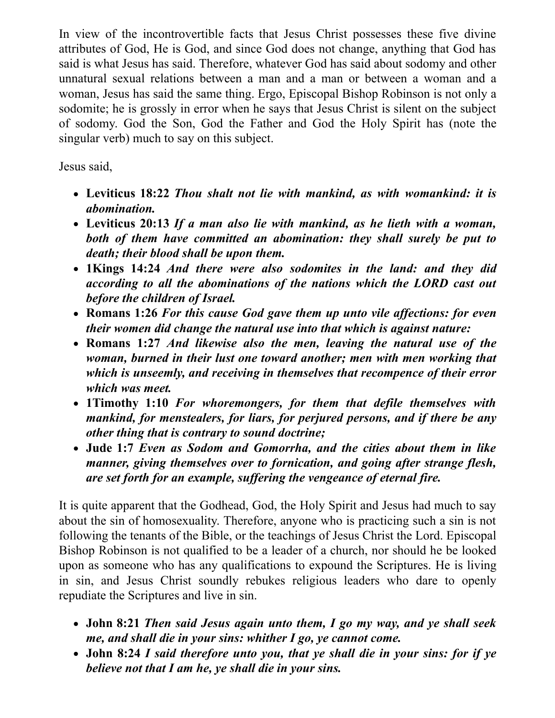In view of the incontrovertible facts that Jesus Christ possesses these five divine attributes of God, He is God, and since God does not change, anything that God has said is what Jesus has said. Therefore, whatever God has said about sodomy and other unnatural sexual relations between a man and a man or between a woman and a woman, Jesus has said the same thing. Ergo, Episcopal Bishop Robinson is not only a sodomite; he is grossly in error when he says that Jesus Christ is silent on the subject of sodomy. God the Son, God the Father and God the Holy Spirit has (note the singular verb) much to say on this subject.

Jesus said,

- **Leviticus 18:22** *Thou shalt not lie with mankind, as with womankind: it is abomination.*
- **Leviticus 20:13** *If a man also lie with mankind, as he lieth with a woman, both of them have committed an abomination: they shall surely be put to death; their blood shall be upon them.*
- **1Kings 14:24** *And there were also sodomites in the land: and they did according to all the abominations of the nations which the LORD cast out before the children of Israel.*
- **Romans 1:26** *For this cause God gave them up unto vile af ections: for even their women did change the natural use into that which is against nature:*
- **Romans 1:27** *And likewise also the men, leaving the natural use of the woman, burned in their lust one toward another; men with men working that which is unseemly, and receiving in themselves that recompence of their error which was meet.*
- **1Timothy 1:10** *For whoremongers, for them that defile themselves with mankind, for menstealers, for liars, for perjured persons, and if there be any other thing that is contrary to sound doctrine;*
- **Jude 1:7** *Even as Sodom and Gomorrha, and the cities about them in like manner, giving themselves over to fornication, and going after strange flesh, are set forth for an example, suf ering the vengeance of eternal fire.*

It is quite apparent that the Godhead, God, the Holy Spirit and Jesus had much to say about the sin of homosexuality. Therefore, anyone who is practicing such a sin is not following the tenants of the Bible, or the teachings of Jesus Christ the Lord. Episcopal Bishop Robinson is not qualified to be a leader of a church, nor should he be looked upon as someone who has any qualifications to expound the Scriptures. He is living in sin, and Jesus Christ soundly rebukes religious leaders who dare to openly repudiate the Scriptures and live in sin.

- **John 8:21** *Then said Jesus again unto them, I go my way, and ye shall seek me, and shall die in your sins: whither I go, ye cannot come.*
- **John 8:24** *I said therefore unto you, that ye shall die in your sins: for if ye believe not that I am he, ye shall die in your sins.*